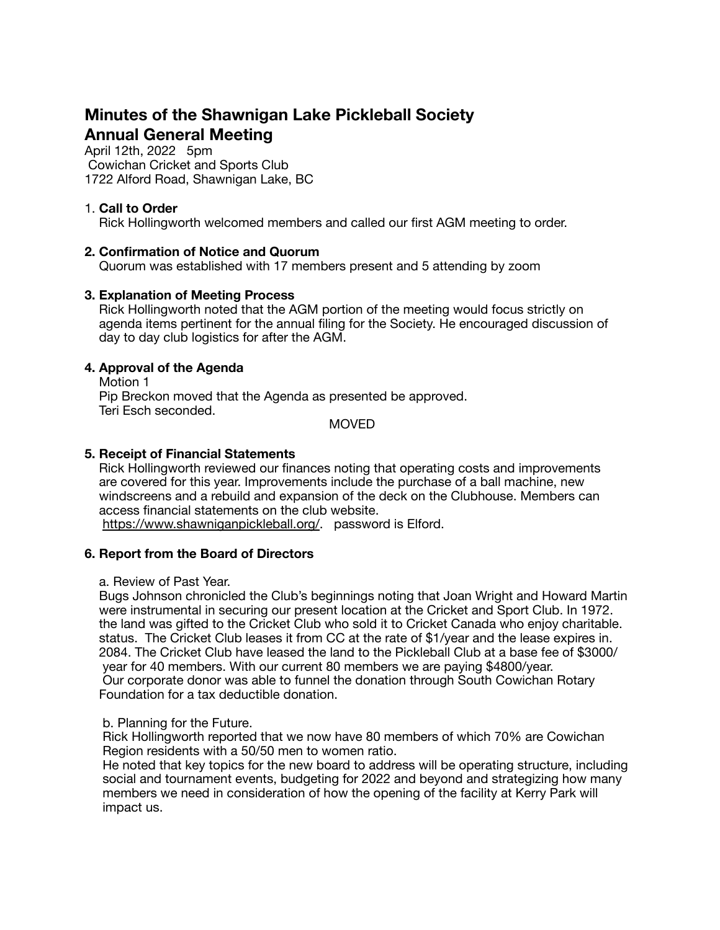# **Minutes of the Shawnigan Lake Pickleball Society Annual General Meeting**

April 12th, 2022 5pm Cowichan Cricket and Sports Club 1722 Alford Road, Shawnigan Lake, BC

# 1. **Call to Order**

Rick Hollingworth welcomed members and called our first AGM meeting to order.

## **2. Confirmation of Notice and Quorum**

Quorum was established with 17 members present and 5 attending by zoom

## **3. Explanation of Meeting Process**

 Rick Hollingworth noted that the AGM portion of the meeting would focus strictly on agenda items pertinent for the annual filing for the Society. He encouraged discussion of day to day club logistics for after the AGM.

# **4. Approval of the Agenda**

 Motion 1 Pip Breckon moved that the Agenda as presented be approved. Teri Esch seconded.

MOVED

## **5. Receipt of Financial Statements**

 Rick Hollingworth reviewed our finances noting that operating costs and improvements are covered for this year. Improvements include the purchase of a ball machine, new windscreens and a rebuild and expansion of the deck on the Clubhouse. Members can access financial statements on the club website.

[https://www.shawniganpickleball.org/.](https://www.shawniganpickleball.org/) password is Elford.

#### **6. Report from the Board of Directors**

a. Review of Past Year.

 Bugs Johnson chronicled the Club's beginnings noting that Joan Wright and Howard Martin were instrumental in securing our present location at the Cricket and Sport Club. In 1972. the land was gifted to the Cricket Club who sold it to Cricket Canada who enjoy charitable. status. The Cricket Club leases it from CC at the rate of \$1/year and the lease expires in. 2084. The Cricket Club have leased the land to the Pickleball Club at a base fee of \$3000/ year for 40 members. With our current 80 members we are paying \$4800/year. Our corporate donor was able to funnel the donation through South Cowichan Rotary Foundation for a tax deductible donation.

#### b. Planning for the Future.

 Rick Hollingworth reported that we now have 80 members of which 70% are Cowichan Region residents with a 50/50 men to women ratio.

 He noted that key topics for the new board to address will be operating structure, including social and tournament events, budgeting for 2022 and beyond and strategizing how many members we need in consideration of how the opening of the facility at Kerry Park will impact us.